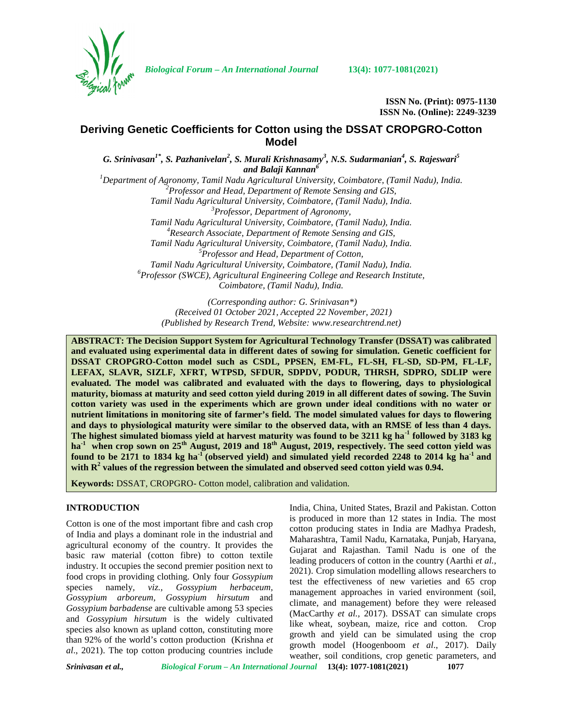

*Biological Forum – An International Journal* **13(4): 1077-1081(2021)**

**ISSN No. (Print): 0975-1130 ISSN No. (Online): 2249-3239**

# **Deriving Genetic Coefficients for Cotton using the DSSAT CROPGRO-Cotton Model**

*G. Srinivasan1\*, S. Pazhanivelan<sup>2</sup> , S. Murali Krishnasamy<sup>3</sup> , N.S. Sudarmanian<sup>4</sup> , S. Rajeswari<sup>5</sup> and Balaji Kannan<sup>6</sup> <sup>1</sup>Department of Agronomy, Tamil Nadu Agricultural University, Coimbatore, (Tamil Nadu), India. <sup>2</sup>Professor and Head, Department of Remote Sensing and GIS, Tamil Nadu Agricultural University, Coimbatore, (Tamil Nadu), India. <sup>3</sup>Professor, Department of Agronomy, Tamil Nadu Agricultural University, Coimbatore, (Tamil Nadu), India. <sup>4</sup>Research Associate, Department of Remote Sensing and GIS,*

*Tamil Nadu Agricultural University, Coimbatore, (Tamil Nadu), India. <sup>5</sup>Professor and Head, Department of Cotton, Tamil Nadu Agricultural University, Coimbatore, (Tamil Nadu), India. <sup>6</sup>Professor (SWCE), Agricultural Engineering College and Research Institute,*

*Coimbatore, (Tamil Nadu), India.*

*(Corresponding author: G. Srinivasan\*) (Received 01 October 2021, Accepted 22 November, 2021) (Published by Research Trend, Website: [www.researchtrend.net\)](www.researchtrend.net)*

**ABSTRACT: The Decision Support System for Agricultural Technology Transfer (DSSAT) was calibrated and evaluated using experimental data in different dates of sowing for simulation. Genetic coefficient for DSSAT CROPGRO-Cotton model such as CSDL, PPSEN, EM-FL, FL-SH, FL-SD, SD-PM, FL-LF, LEFAX, SLAVR, SIZLF, XFRT, WTPSD, SFDUR, SDPDV, PODUR, THRSH, SDPRO, SDLIP were evaluated. The model was calibrated and evaluated with the days to flowering, days to physiological maturity, biomass at maturity and seed cotton yield during 2019 in all different dates of sowing. The Suvin cotton variety was used in the experiments which are grown under ideal conditions with no water or nutrient limitations in monitoring site of farmer's field. The model simulated values for days to flowering and days to physiological maturity were similar to the observed data, with an RMSE of less than 4 days. The highest simulated biomass yield at harvest maturity was found to be 3211 kg ha-1 followed by 3183 kg ha-1 when crop sown on 25th August, 2019 and 18th August, 2019, respectively. The seed cotton yield was found to be 2171 to 1834 kg ha-1 (observed yield) and simulated yield recorded 2248 to 2014 kg ha-1 and with R<sup>2</sup> values of the regression between the simulated and observed seed cotton yield was 0.94.**

**Keywords:** DSSAT, CROPGRO- Cotton model, calibration and validation.

# **INTRODUCTION**

Cotton is one of the most important fibre and cash crop of India and plays a dominant role in the industrial and agricultural economy of the country. It provides the basic raw material (cotton fibre) to cotton textile industry. It occupies the second premier position next to food crops in providing clothing. Only four *Gossypium* species namely*, viz., Gossypium herbaceum, Gossypium arboreum, Gossypium hirsutum* and *Gossypium barbadense* are cultivable among 53 species and *Gossypium hirsutum* is the widely cultivated species also known as upland cotton, constituting more than 92% of the world's cotton production (Krishna *et al*., 2021). The top cotton producing countries include

India, China, United States, Brazil and Pakistan. Cotton is produced in more than 12 states in India. The most cotton producing states in India are Madhya Pradesh, Maharashtra, Tamil Nadu, Karnataka, Punjab, Haryana, Gujarat and Rajasthan. Tamil Nadu is one of the leading producers of cotton in the country (Aarthi *et al.,* 2021). Crop simulation modelling allows researchers to test the effectiveness of new varieties and 65 crop management approaches in varied environment (soil, climate, and management) before they were released (MacCarthy *et al.,* 2017). DSSAT can simulate crops like wheat, soybean, maize, rice and cotton. Crop growth and yield can be simulated using the crop growth model (Hoogenboom *et al*., 2017). Daily weather, soil conditions, crop genetic parameters, and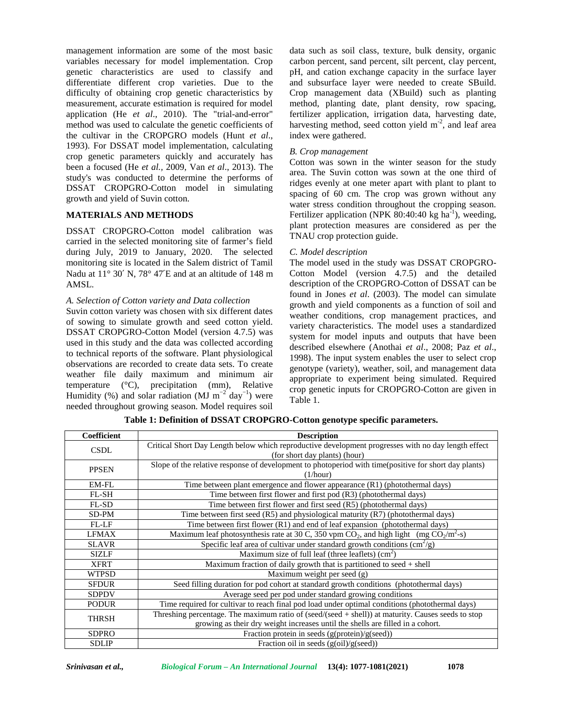management information are some of the most basic variables necessary for model implementation. Crop genetic characteristics are used to classify and differentiate different crop varieties. Due to the difficulty of obtaining crop genetic characteristics by measurement, accurate estimation is required for model application (He *et al*., 2010). The "trial-and-error" method was used to calculate the genetic coefficients of the cultivar in the CROPGRO models (Hunt *et al*., 1993). For DSSAT model implementation, calculating crop genetic parameters quickly and accurately has been a focused (He *et al.,* 2009, Van *et al*., 2013). The study's was conducted to determine the performs of DSSAT CROPGRO-Cotton model in simulating growth and yield of Suvin cotton.

# **MATERIALS AND METHODS**

DSSAT CROPGRO-Cotton model calibration was carried in the selected monitoring site of farmer's field during July, 2019 to January, 2020. The selected monitoring site is located in the Salem district of Tamil Nadu at 11° 30′ N, 78° 47′E and at an altitude of 148 m AMSL.

## *A. Selection of Cotton variety and Data collection*

Suvin cotton variety was chosen with six different dates of sowing to simulate growth and seed cotton yield. DSSAT CROPGRO-Cotton Model (version 4.7.5) was used in this study and the data was collected according to technical reports of the software. Plant physiological observations are recorded to create data sets. To create weather file daily maximum and minimum air temperature (°C), precipitation (mm), Relative Humidity (%) and solar radiation (MJ  $m^{-2}$  day<sup>-1</sup>) were needed throughout growing season. Model requires soil

data such as soil class, texture, bulk density, organic carbon percent, sand percent, silt percent, clay percent, pH, and cation exchange capacity in the surface layer and subsurface layer were needed to create SBuild. Crop management data (XBuild) such as planting method, planting date, plant density, row spacing, fertilizer application, irrigation data, harvesting date, harvesting method, seed cotton yield  $m<sup>2</sup>$ , and leaf area index were gathered.

### *B. Crop management*

Cotton was sown in the winter season for the study area. The Suvin cotton was sown at the one third of ridges evenly at one meter apart with plant to plant to spacing of 60 cm. The crop was grown without any water stress condition throughout the cropping season. Fertilizer application (NPK 80:40:40 kg ha<sup>-1</sup>), weeding, plant protection measures are considered as per the TNAU crop protection guide.

#### *C. Model description*

The model used in the study was DSSAT CROPGRO- Cotton Model (version 4.7.5) and the detailed description of the CROPGRO-Cotton of DSSAT can be found in Jones *et al*. (2003). The model can simulate growth and yield components as a function of soil and weather conditions, crop management practices, and variety characteristics. The model uses a standardized system for model inputs and outputs that have been described elsewhere (Anothai *et al*., 2008; Paz *et al*., 1998). The input system enables the user to select crop genotype (variety), weather, soil, and management data appropriate to experiment being simulated. Required crop genetic inputs for CROPGRO-Cotton are given in Table 1.

| Coefficient  | <b>Description</b>                                                                                    |
|--------------|-------------------------------------------------------------------------------------------------------|
| <b>CSDL</b>  | Critical Short Day Length below which reproductive development progresses with no day length effect   |
|              | (for short day plants) (hour)                                                                         |
| <b>PPSEN</b> | Slope of the relative response of development to photoperiod with time(positive for short day plants) |
|              | (1/hour)                                                                                              |
| EM-FL        | Time between plant emergence and flower appearance (R1) (photothermal days)                           |
| FL-SH        | Time between first flower and first pod (R3) (photothermal days)                                      |
| FL-SD        | Time between first flower and first seed (R5) (photothermal days)                                     |
| SD-PM        | Time between first seed $(R5)$ and physiological maturity $(R7)$ (photothermal days)                  |
| <b>FL-LF</b> | Time between first flower (R1) and end of leaf expansion (photothermal days)                          |
| <b>LFMAX</b> | Maximum leaf photosynthesis rate at 30 C, 350 vpm $CO_2$ , and high light (mg $CO_2/m^2$ -s)          |
| <b>SLAVR</b> | Specific leaf area of cultivar under standard growth conditions $\text{cm}^2/\text{g}$ )              |
| <b>SIZLF</b> | Maximum size of full leaf (three leaflets) $(cm2)$                                                    |
| <b>XFRT</b>  | Maximum fraction of daily growth that is partitioned to seed $+$ shell                                |
| <b>WTPSD</b> | Maximum weight per seed (g)                                                                           |
| <b>SFDUR</b> | Seed filling duration for pod cohort at standard growth conditions (photothermal days)                |
| <b>SDPDV</b> | Average seed per pod under standard growing conditions                                                |
| <b>PODUR</b> | Time required for cultivar to reach final pod load under optimal conditions (photothermal days)       |
| <b>THRSH</b> | Threshing percentage. The maximum ratio of (seed/(seed + shell)) at maturity. Causes seeds to stop    |
|              | growing as their dry weight increases until the shells are filled in a cohort.                        |
| <b>SDPRO</b> | Fraction protein in seeds $(g(\text{protein})/g(\text{seed}))$                                        |
| <b>SDLIP</b> | Fraction oil in seeds $(g(oil)/g(seed))$                                                              |

**Table 1: Definition of DSSAT CROPGRO-Cotton genotype specific parameters.**

*Srinivasan et al., Biological Forum – An International Journal* **13(4): 1077-1081(2021) 1078**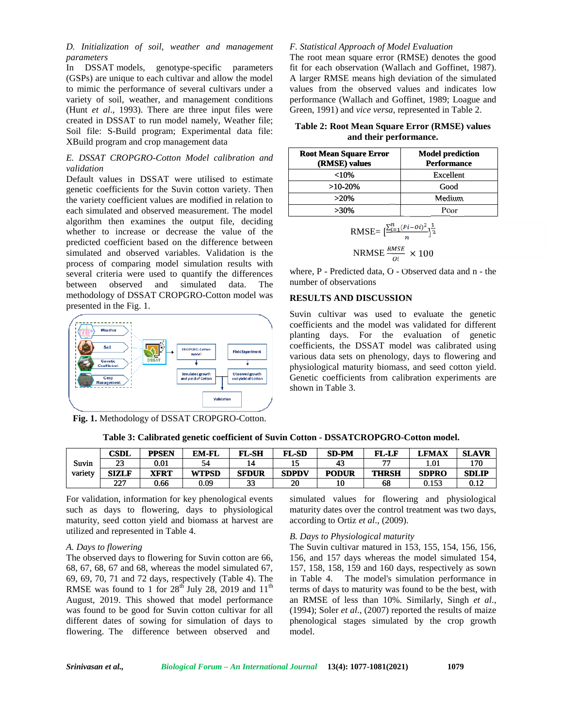*D. Initialization of soil, weather and management parameters*

In DSSAT models, genotype-specific parameters (GSPs) are unique to each cultivar and allow the model to mimic the performance of several cultivars under a variety of soil, weather, and management conditions (Hunt *et al*., 1993). There are three input files were created in DSSAT to run model namely, Weather file; Soil file: S-Build program; Experimental data file: XBuild program and crop management data

## *E. DSSAT CROPGRO-Cotton Model calibration and validation*

Default values in DSSAT were utilised to estimate genetic coefficients for the Suvin cotton variety. Then the variety coefficient values are modified in relation to each simulated and observed measurement. The model algorithm then examines the output file, deciding whether to increase or decrease the value of the predicted coefficient based on the difference between simulated and observed variables. Validation is the process of comparing model simulation results with several criteria were used to quantify the differences between observed and simulated data. The methodology of DSSAT CROPGRO-Cotton model was presented in the Fig. 1. *D.* Initialization of soil, weather and management F. S. The Constraines of the most signation in the most section cultivars and allow the model A la management of a vertical cultivars under a value of a similar term of a genetic coefficients for the Suvin cotton variety. Then<br>the variety coefficient values are modified in relation to<br>each simulated and observed measurement. The model<br>algorithm then examines the output file, deciding<br>whethe



**Fig. 1.** Methodology of DSSAT CROPGRO-Cotton.

#### *F. Statistical Approach of Model Evaluation*

The root mean square error (RMSE) denotes the good fit for each observation (Wallach and Goffinet, 1987). A larger RMSE means high deviation of the simulated values from the observed values and indicates low performance (Wallach and Goffinet, 1989; Loague and Green, 1991) and *vice versa,* represented in Table 2. t mean square error (RMSE) denotes the good<br>ach observation (Wallach and Goffinet, 1987).<br>r RMSE means high deviation of the simulated<br>from the observed values and indicates low<br>ance (Wallach and Goffinet, 1989; Loague and

| Table 2: Root Mean Square Error (RMSE) values |  |
|-----------------------------------------------|--|
| and their performance.                        |  |

| <b>Root Mean Square Error</b><br>(RMSE) values | <b>Model prediction</b><br><b>Performance</b> |  |  |
|------------------------------------------------|-----------------------------------------------|--|--|
| $<$ 10%                                        | Excellent                                     |  |  |
| $>10-20%$                                      | Good                                          |  |  |
| $>20\%$                                        | Medium                                        |  |  |
| $>30\%$                                        | Poor                                          |  |  |

RMSE=
$$
\left[\frac{\sum_{i=1}^{n}(Pi-Oi)^2}{n}\right]^{\frac{1}{2}}
$$
  
NRMSE  $\frac{RMSE}{Oi} \times 100$ 

NRMSE  $\frac{n_{MSE}}{0i} \times 100$ <br>where, P - Predicted data, O - Observed data and n - the number of observations

### **RESULTS AND DISCUSSION DISCUSSION**

Suvin cultivar was used to evaluate the genetic coefficients and the model was validated for different planting days. For the evaluation of genetic coefficients, the DSSAT model was calibrated using various data sets on phenology, days to flowering and physiological maturity biomass, and seed cotton yield. Genetic coefficients from calibration experiments are shown in Table 3. Suvin cultivar was used to evaluate the genetic coefficients and the model was validated for different planting days. For the evaluation of genetic coefficients, the DSSAT model was calibrated using various data sets on ph

|  |  | Table 3: Calibrated genetic coefficient of Suvin Cotton - DSSATCROPGRO-Cotton model. |
|--|--|--------------------------------------------------------------------------------------|
|--|--|--------------------------------------------------------------------------------------|

|         | CSDL                 | PPSEN     | <b>EM-FL</b> | <b>FL-SH</b> | <b>FL-SD</b> | SD-PM        | <b>FL-LF</b> | LFMAX        | <b>SLAVR</b>  |
|---------|----------------------|-----------|--------------|--------------|--------------|--------------|--------------|--------------|---------------|
| Suvin   | $\mathcal{L}$<br>لىك | $_{0.01}$ | 74           |              |              | 45           | ---          | 1.01         | 170           |
| variety | <b>SIZLF</b>         | XFRT      | <b>WTPSD</b> | <b>SFDUR</b> | <b>SDPDV</b> | <b>PODUR</b> | <b>THRSH</b> | <b>SDPRO</b> | <b>SDLIP</b>  |
|         | $\sim$<br>LL         | 0.66      | 0.09         | $\sim$<br>ວວ | 20           | 10           | 68           | 0.153        | ስ 1ኅ<br>v. LZ |

For validation, information for key phenological events such as days to flowering, days to physiological maturity, seed cotton yield and biomass at harvest are utilized and represented in Table 4.

#### *A. Days to flowering to flowering*

The observed days to flowering for Suvin cotton are 66, The observed days to flowering for Suvin cotton are 66, 68, 67, 68, 67 and 68, whereas the model simulated 67, 68, 67, 68, 67 and 68, whereas the model simulated 67, 157, 158, 15<br>69, 69, 70, 71 and 72 days, respectively (Table 4). The in Table 4. RMSE was found to 1 for  $28<sup>th</sup>$  July 28, 2019 and  $11<sup>th</sup>$ August, 2019. This showed that model performance was found to be good for Suvin cotton cultivar for all different dates of sowing for simulation of days to flowering. The difference between observed and

simulated values for flowering and physiological maturity dates over the control treatment was two days, according to Ortiz *et al*., (2009).

#### *B. Days to Physiological maturity*

The Suvin cultivar matured in 153, 155, 154, 156, 156, 156, and 157 days whereas the model simulated 154, 157, 158, 158, 159 and 160 days, respectively as sown in Table 4. The model's simulation performance in terms of days to maturity was found to be the best, with an RMSE of less than 10%. Similarly, Singh *et al.*, (1994); Soler *et al.*, (2007) reported the results of maize phenological stages simulated by the crop growth model. ays to flowering, days to physiological maturity dates over the control treatment was two days,<br>eed cotton yield and biomass at harvest are according to Ortiz *et al.*, (2009).<br>represented in Table 4. B. Days to Physiolog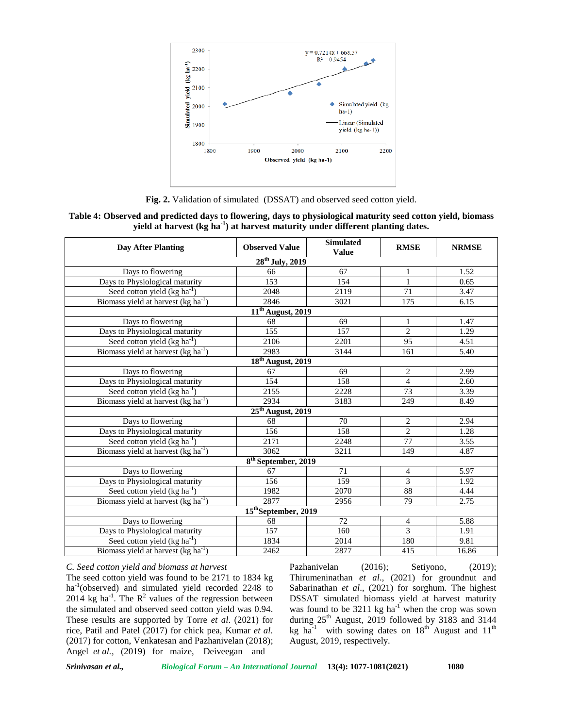

**Fig. 2.** Validation of simulated (DSSAT) and observed seed cotton yield.

## **Table 4: Observed and predicted days to flowering, days to physiological maturity seed cotton yield, biomass yield at harvest (kg ha-1) at harvest maturity under different planting dates.**

| <b>Day After Planting</b>                | <b>Observed Value</b>           | <b>Simulated</b><br><b>Value</b> | <b>RMSE</b>    | <b>NRMSE</b> |
|------------------------------------------|---------------------------------|----------------------------------|----------------|--------------|
|                                          | $28th$ July, 2019               |                                  |                |              |
| Days to flowering                        | 66                              | 67                               | 1              | 1.52         |
| Days to Physiological maturity           | 153                             | 154                              | $\mathbf{1}$   | 0.65         |
| Seed cotton yield $(kg ha^{-1})$         | 2048                            | 2119                             | 71             | 3.47         |
| Biomass yield at harvest $(kg ha-1)$     | 2846                            | 3021                             | 175            | 6.15         |
|                                          | 11 <sup>th</sup> August, 2019   |                                  |                |              |
| Days to flowering                        | 68                              | 69                               | 1              | 1.47         |
| Days to Physiological maturity           | 155                             | 157                              | $\overline{c}$ | 1.29         |
| Seed cotton yield $(kg ha-1)$            | 2106                            | 2201                             | 95             | 4.51         |
| Biomass yield at harvest $(kg ha-1)$     | 2983                            | 3144                             | 161            | 5.40         |
|                                          | 18 <sup>th</sup> August, 2019   |                                  |                |              |
| Days to flowering                        | 67                              | 69                               | 2              | 2.99         |
| Days to Physiological maturity           | 154                             | 158                              | $\overline{4}$ | 2.60         |
| Seed cotton yield $(kg ha^{-1})$         | 2155                            | 2228                             | 73             | 3.39         |
| Biomass yield at harvest $(kg ha-1)$     | 2934                            | 3183                             | 249            | 8.49         |
|                                          | $25th$ August, 2019             |                                  |                |              |
| Days to flowering                        | 68                              | 70                               | 2              | 2.94         |
| Days to Physiological maturity           | 156                             | 158                              | $\overline{2}$ | 1.28         |
| Seed cotton yield $(kg ha^{-1})$         | 2171                            | 2248                             | 77             | 3.55         |
| Biomass yield at harvest $(kg ha-1)$     | 3062                            | 3211                             | 149            | 4.87         |
|                                          | 8 <sup>th</sup> September, 2019 |                                  |                |              |
| Days to flowering                        | 67                              | 71                               | $\overline{4}$ | 5.97         |
| Days to Physiological maturity           | 156                             | 159                              | 3              | 1.92         |
| Seed cotton yield (kg ha <sup>-1</sup> ) | 1982                            | 2070                             | 88             | 4.44         |
| Biomass yield at harvest $(kg ha-1)$     | 2877                            | 2956                             | 79             | 2.75         |
|                                          | 15th September, 2019            |                                  |                |              |
| Days to flowering                        | 68                              | 72                               | 4              | 5.88         |
| Days to Physiological maturity           | 157                             | 160                              | 3              | 1.91         |
| Seed cotton yield $(kg ha-1)$            | 1834                            | 2014                             | 180            | 9.81         |
| Biomass yield at harvest $(kg ha-1)$     | 2462                            | 2877                             | 415            | 16.86        |

*C. Seed cotton yield and biomass at harvest*

The seed cotton yield was found to be 2171 to 1834 kg ha<sup>-1</sup>(observed) and simulated yield recorded 2248 to 2014 kg ha<sup>-1</sup>. The  $R^2$  values of the regression between DSS the simulated and observed seed cotton yield was 0.94. These results are supported by Torre *et al*. (2021) for rice, Patil and Patel (2017) for chick pea, Kumar *et al*. (2017) for cotton, Venkatesan and Pazhanivelan (2018); Angel *et al.,* (2019) for maize, Deiveegan and

Pazhanivelan (2016); Setiyono, (2019); Thirumeninathan *et al*., (2021) for groundnut and Sabarinathan *et al*., (2021) for sorghum. The highest DSSAT simulated biomass yield at harvest maturity was found to be  $3211 \text{ kg ha}^{-1}$  when the crop was sown during  $25<sup>th</sup>$  August, 2019 followed by 3183 and 3144 kg ha<sup>-1</sup> with sowing dates on  $18^{th}$  August and  $11^{th}$ August, 2019, respectively.

*Srinivasan et al., Biological Forum – An International Journal* **13(4): 1077-1081(2021) 1080**